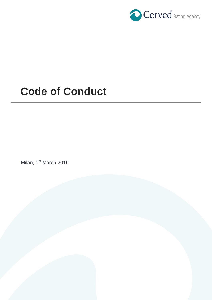

# **Code of Conduct**

Milan, 1<sup>st</sup> March 2016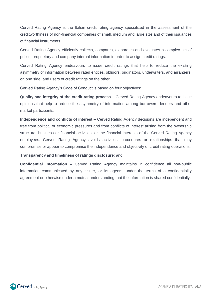Cerved Rating Agency is the Italian credit rating agency specialized in the assessment of the creditworthiness of non-financial companies of small, medium and large size and of their issuances of financial instruments.

Cerved Rating Agency efficiently collects, compares, elaborates and evaluates a complex set of public, proprietary and company internal information in order to assign credit ratings.

Cerved Rating Agency endeavours to issue credit ratings that help to reduce the existing asymmetry of information between rated entities, obligors, originators, underwriters, and arrangers, on one side, and users of credit ratings on the other.

Cerved Rating Agency's Code of Conduct is based on four objectives:

**Quality and integrity of the credit rating process –** Cerved Rating Agency endeavours to issue opinions that help to reduce the asymmetry of information among borrowers, lenders and other market participants;

**Independence and conflicts of interest –** Cerved Rating Agency decisions are independent and free from political or economic pressures and from conflicts of interest arising from the ownership structure, business or financial activities, or the financial interests of the Cerved Rating Agency employees. Cerved Rating Agency avoids activities, procedures or relationships that may compromise or appear to compromise the independence and objectivity of credit rating operations;

#### **Transparency and timeliness of ratings disclosure**; and

**Confidential information –** Cerved Rating Agency maintains in confidence all non-public information communicated by any issuer, or its agents, under the terms of a confidentiality agreement or otherwise under a mutual understanding that the information is shared confidentially.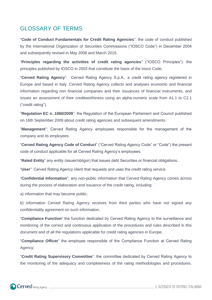### GLOSSARY OF TERMS

"**Code of Conduct Fundamentals for Credit Rating Agencies**": the code of conduct published by the International Organization of Securities Commissions ("IOSCO Code") in December 2004 and subsequently revised in May 2008 and March 2015.

"**Principles regarding the activities of credit rating agencies**" ("IOSCO Principles"): the principles published by IOSCO in 2003 that constitute the basis of the Iosco Code.

"**Cerved Rating Agency**": Cerved Rating Agency S.p.A., a credit rating agency registered in Europe and based in Italy. Cerved Rating Agency collects and analyses economic and financial information regarding non financial companies and their issuances of financial instruments, and issues an assessment of their creditworthiness using an alpha-numeric scale from A1.1 to C2.1 ("credit rating").

"**Regulation EC n. 1060/2009**": the Regulation of the European Parliament and Council published on 16th September 2009 about credit rating agencies and subsequent amendments.

"**Management**": Cerved Rating Agency employees responsible for the management of the company and its employees.

"**Cerved Rating Agency Code of Conduct**" ("Cerved Rating Agency Code" or "Code") the present code of conduct applicable for all Cerved Rating Agency's employees.

"**Rated Entity**" any entity (issuer/obligor) that issues debt Securities or financial obligations.

"**User**": Cerved Rating Agency client that requests and uses the credit rating service.

"**Confidential Information**": any non-public information that Cerved Rating Agency comes across during the process of elaboration and issuance of the credit rating, including:

a) information that may become public;

b) information Cerved Rating Agency receives from third parties who have not signed any confidentiality agreement on such information.

"**Compliance Function**" the function dedicated by Cerved Rating Agency to the surveillance and monitoring of the correct and continuous application of the procedures and rules described in this document and of all the regulations applicable for credit rating agencies in Europe.

"**Compliance Officer**" the employee responsible of the Compliance Function at Cerved Rating Agency;

"**Credit Rating Supervisory Committee**": the committee dedicated by Cerved Rating Agency to the monitoring of the adequacy and completeness of the rating methodologies and procedures.

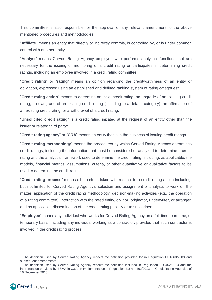This committee is also responsible for the approval of any relevant amendment to the above mentioned procedures and methodologies.

"**Affiliate**" means an entity that directly or indirectly controls, is controlled by, or is under common control with another entity.

"**Analyst**" means Cerved Rating Agency employee who performs analytical functions that are necessary for the issuing or monitoring of a credit rating or participates in determining credit ratings, including an employee involved in a credit rating committee.

"**Credit rating**" or "**rating**" means an opinion regarding the creditworthiness of an entity or obligation, expressed using an established and defined ranking system of rating categories<sup>1</sup>.

"**Credit rating action**" means to determine an initial credit rating, an upgrade of an existing credit rating, a downgrade of an existing credit rating (including to a default category), an affirmation of an existing credit rating, or a withdrawal of a credit rating.

"**Unsolicited credit rating**" is a credit rating initiated at the request of an entity other than the issuer or related third party<sup>2</sup>.

"**Credit rating agency**" or "**CRA**" means an entity that is in the business of issuing credit ratings.

"**Credit rating methodology**" means the procedures by which Cerved Rating Agency determines credit ratings, including the information that must be considered or analyzed to determine a credit rating and the analytical framework used to determine the credit rating, including, as applicable, the models, financial metrics, assumptions, criteria, or other quantitative or qualitative factors to be used to determine the credit rating.

"**Credit rating process**" means all the steps taken with respect to a credit rating action including, but not limited to, Cerved Rating Agency's selection and assignment of analysts to work on the matter, application of the credit rating methodology, decision-making activities (e.g., the operation of a rating committee), interaction with the rated entity, obligor, originator, underwriter, or arranger, and as applicable, dissemination of the credit rating publicly or to subscribers.

"**Employee**" means any individual who works for Cerved Rating Agency on a full-time, part-time, or temporary basis, including any individual working as a contractor, provided that such contractor is involved in the credit rating process.

<sup>2</sup> The definition used by Cerved Rating Agency reflects the definition included in Regulation EU 462/2013 and the interpretation provided by ESMA in Q&A on Implementation of Regulation EU no. 462/2013 on Credit Rating Agencies of 16 December 2015.



 $\overline{a}$ 

<sup>&</sup>lt;sup>1</sup> The definition used by Cerved Rating Agency reflects the definition provided for in Regulation EU1060/2009 and subsequent amendments.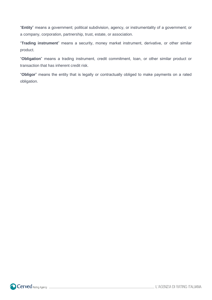"**Entity**" means a government; political subdivision, agency, or instrumentality of a government; or a company, corporation, partnership, trust, estate, or association.

"**Trading instrument**" means a security, money market instrument, derivative, or other similar product.

"**Obligation**" means a trading instrument, credit commitment, loan, or other similar product or transaction that has inherent credit risk.

"**Obligor**" means the entity that is legally or contractually obliged to make payments on a rated obligation.



L'AGENZIA DI RATING ITALIANA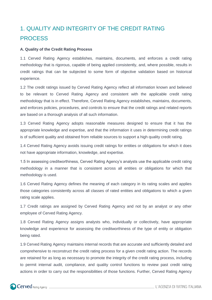## 1. QUALITY AND INTEGRITY OF THE CREDIT RATING PROCESS

#### **A. Quality of the Credit Rating Process**

1.1 Cerved Rating Agency establishes, maintains, documents, and enforces a credit rating methodology that is rigorous, capable of being applied consistently, and, where possible, results in credit ratings that can be subjected to some form of objective validation based on historical experience.

1.2 The credit ratings issued by Cerved Rating Agency reflect all information known and believed to be relevant to Cerved Rating Agency and consistent with the applicable credit rating methodology that is in effect. Therefore, Cerved Rating Agency establishes, maintains, documents, and enforces policies, procedures, and controls to ensure that the credit ratings and related reports are based on a thorough analysis of all such information.

1.3 Cerved Rating Agency adopts reasonable measures designed to ensure that it has the appropriate knowledge and expertise, and that the information it uses in determining credit ratings is of sufficient quality and obtained from reliable sources to support a high quality credit rating.

1.4 Cerved Rating Agency avoids issuing credit ratings for entities or obligations for which it does not have appropriate information, knowledge, and expertise.

1.5 In assessing creditworthiness, Cerved Rating Agency's analysts use the applicable credit rating methodology in a manner that is consistent across all entities or obligations for which that methodology is used.

1.6 Cerved Rating Agency defines the meaning of each category in its rating scales and applies those categories consistently across all classes of rated entities and obligations to which a given rating scale applies.

1.7 Credit ratings are assigned by Cerved Rating Agency and not by an analyst or any other employee of Cerved Rating Agency.

1.8 Cerved Rating Agency assigns analysts who, individually or collectively, have appropriate knowledge and experience for assessing the creditworthiness of the type of entity or obligation being rated.

1.9 Cerved Rating Agency maintains internal records that are accurate and sufficiently detailed and comprehensive to reconstruct the credit rating process for a given credit rating action. The records are retained for as long as necessary to promote the integrity of the credit rating process, including to permit internal audit, compliance, and quality control functions to review past credit rating actions in order to carry out the responsibilities of those functions. Further, Cerved Rating Agency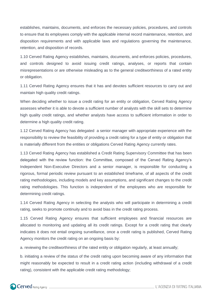establishes, maintains, documents, and enforces the necessary policies, procedures, and controls to ensure that its employees comply with the applicable internal record maintenance, retention, and disposition requirements and with applicable laws and regulations governing the maintenance, retention, and disposition of records.

1.10 Cerved Rating Agency establishes, maintains, documents, and enforces policies, procedures, and controls designed to avoid issuing credit ratings, analyses, or reports that contain misrepresentations or are otherwise misleading as to the general creditworthiness of a rated entity or obligation.

1.11 Cerved Rating Agency ensures that it has and devotes sufficient resources to carry out and maintain high quality credit ratings.

When deciding whether to issue a credit rating for an entity or obligation, Cerved Rating Agency assesses whether it is able to devote a sufficient number of analysts with the skill sets to determine high quality credit ratings, and whether analysts have access to sufficient information in order to determine a high quality credit rating.

1.12 Cerved Rating Agency has delegated a senior manager with appropriate experience with the responsibility to review the feasibility of providing a credit rating for a type of entity or obligation that is materially different from the entities or obligations Cerved Rating Agency currently rates.

1.13 Cerved Rating Agency has established a Credit Rating Supervisory Committee that has been delegated with the review function: the Committee, composed of the Cerved Rating Agency's Independent Non-Executive Directors and a senior manager, is responsible for conducting a rigorous, formal periodic review pursuant to an established timeframe, of all aspects of the credit rating methodologies, including models and key assumptions, and significant changes to the credit rating methodologies. This function is independent of the employees who are responsible for determining credit ratings.

1.14 Cerved Rating Agency in selecting the analysts who will participate in determining a credit rating, seeks to promote continuity and to avoid bias in the credit rating process.

1.15 Cerved Rating Agency ensures that sufficient employees and financial resources are allocated to monitoring and updating all its credit ratings. Except for a credit rating that clearly indicates it does not entail ongoing surveillance, once a credit rating is published, Cerved Rating Agency monitors the credit rating on an ongoing basis by:

a. reviewing the creditworthiness of the rated entity or obligation regularly, at least annually;

b. initiating a review of the status of the credit rating upon becoming aware of any information that might reasonably be expected to result in a credit rating action (including withdrawal of a credit rating), consistent with the applicable credit rating methodology;

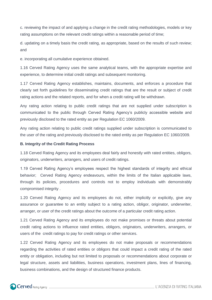c. reviewing the impact of and applying a change in the credit rating methodologies, models or key rating assumptions on the relevant credit ratings within a reasonable period of time;

d. updating on a timely basis the credit rating, as appropriate, based on the results of such review; and

e. incorporating all cumulative experience obtained.

1.16 Cerved Rating Agency uses the same analytical teams, with the appropriate expertise and experience, to determine initial credit ratings and subsequent monitoring.

1.17 Cerved Rating Agency establishes, maintains, documents, and enforces a procedure that clearly set forth guidelines for disseminating credit ratings that are the result or subject of credit rating actions and the related reports, and for when a credit rating will be withdrawn.

Any rating action relating to public credit ratings that are not supplied under subscription is communicated to the public through Cerved Rating Agency's publicly accessible website and previously disclosed to the rated entity as per Regulation EC 1060/2009.

Any rating action relating to public credit ratings supplied under subscription is communicated to the user of the rating and previously disclosed to the rated entity as per Regulation EC 1060/2009.

#### **B. Integrity of the Credit Rating Process**

1.18 Cerved Rating Agency and its employees deal fairly and honestly with rated entities, obligors, originators, underwriters, arrangers, and users of credit ratings.

1.19 Cerved Rating Agency's employees respect the highest standards of integrity and ethical behavior; Cerved Rating Agency endeavours, within the limits of the Italian applicable laws, through its policies, procedures and controls not to employ individuals with demonstrably compromised integrity .

1.20 Cerved Rating Agency and its employees do not, either implicitly or explicitly, give any assurance or guarantee to an entity subject to a rating action, obligor, originator, underwriter, arranger, or user of the credit ratings about the outcome of a particular credit rating action.

1.21 Cerved Rating Agency and its employees do not make promises or threats about potential credit rating actions to influence rated entities, obligors, originators, underwriters, arrangers, or users of the credit ratings to pay for credit ratings or other services.

1.22 Cerved Rating Agency and its employees do not make proposals or recommendations regarding the activities of rated entities or obligors that could impact a credit rating of the rated entity or obligation, including but not limited to proposals or recommendations about corporate or legal structure, assets and liabilities, business operations, investment plans, lines of financing, business combinations, and the design of structured finance products.

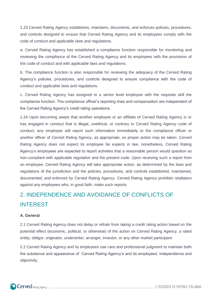1.23 Cerved Rating Agency establishes, maintains, documents, and enforces policies, procedures, and controls designed to ensure that Cerved Rating Agency and its employees comply with the code of conduct and applicable laws and regulations.

a. Cerved Rating Agency has established a compliance function responsible for monitoring and reviewing the compliance of the Cerved Rating Agency and its employees with the provisions of the code of conduct and with applicable laws and regulations.

b. The compliance function is also responsible for reviewing the adequacy of the Cerved Rating Agency's policies, procedures, and controls designed to ensure compliance with the code of conduct and applicable laws and regulations.

c. Cerved Rating Agency has assigned to a senior level employee with the requisite skill the compliance function. The compliance officer's reporting lines and compensation are independent of the Cerved Rating Agency's credit rating operations.

1.24 Upon becoming aware that another employee or an affiliate of Cerved Rating Agency is or has engaged in conduct that is illegal, unethical, or contrary to Cerved Rating Agency code of conduct, any employee will report such information immediately to the compliance officer or another officer of Cerved Rating Agency, as appropriate, so proper action may be taken. Cerved Rating Agency does not expect its employee be experts in law, nonetheless, Cerved Rating Agency's employees are expected to report activities that a reasonable person would question as non-compliant with applicable regulation and the present code. Upon receiving such a report from an employee, Cerved Rating Agency will take appropriate action, as determined by the laws and regulations of the jurisdiction and the policies, procedures, and controls established, maintained, documented, and enforced by Cerved Rating Agency. Cerved Rating Agency prohibits retaliation against any employees who, in good faith, make such reports.

## 2. INDEPENDENCE AND AVOIDANCE OF CONFLICTS OF INTEREST

#### **A. General**

2.1 Cerved Rating Agency does not delay or refrain from taking a credit rating action based on the potential effect (economic, political, or otherwise) of the action on Cerved Rating Agency, a rated entity, obligor, originator, underwriter, arranger, investor, or any other market participant.

2.2 Cerved Rating Agency and its employees use care and professional judgment to maintain both the substance and appearance of Cerved Rating Agency's and its employees' independence and objectivity.

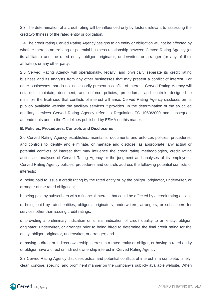2.3 The determination of a credit rating will be influenced only by factors relevant to assessing the creditworthiness of the rated entity or obligation.

2.4 The credit rating Cerved Rating Agency assigns to an entity or obligation will not be affected by whether there is an existing or potential business relationship between Cerved Rating Agency (or its affiliates) and the rated entity, obligor, originator, underwriter, or arranger (or any of their affiliates), or any other party.

2.5 Cerved Rating Agency will operationally, legally, and physically separate its credit rating business and its analysts from any other businesses that may present a conflict of interest. For other businesses that do not necessarily present a conflict of interest, Cerved Rating Agency will establish, maintain, document, and enforce policies, procedures, and controls designed to minimize the likelihood that conflicts of interest will arise. Cerved Rating Agency discloses on its publicly available website the ancillary services it provides. In the determination of the so called ancillary services Cerved Rating Agency refers to Regulation EC 1060/2009 and subsequent amendments and to the Guidelines published by ESMA on this matter.

#### **B. Policies, Procedures, Controls and Disclosures**

2.6 Cerved Rating Agency establishes, maintains, documents and enforces policies, procedures, and controls to identify and eliminate, or manage and disclose, as appropriate, any actual or potential conflicts of interest that may influence the credit rating methodologies, credit rating actions or analyses of Cerved Rating Agency or the judgment and analyses of its employees. Cerved Rating Agency policies, procedures and controls address the following potential conflicts of interests:

a. being paid to issue a credit rating by the rated entity or by the obligor, originator, underwriter, or arranger of the rated obligation;

b. being paid by subscribers with a financial interest that could be affected by a credit rating action;

c. being paid by rated entities, obligors, originators, underwriters, arrangers, or subscribers for services other than issuing credit ratings;

d. providing a preliminary indication or similar indication of credit quality to an entity, obligor, originator, underwriter, or arranger prior to being hired to determine the final credit rating for the entity, obligor, originator, underwriter, or arranger; and

e. having a direct or indirect ownership interest in a rated entity or obligor, or having a rated entity or obligor have a direct or indirect ownership interest in Cerved Rating Agency.

2.7 Cerved Rating Agency discloses actual and potential conflicts of interest in a complete, timely, clear, concise, specific, and prominent manner on the company's publicly available website. When

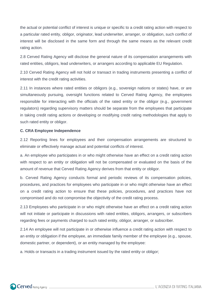the actual or potential conflict of interest is unique or specific to a credit rating action with respect to a particular rated entity, obligor, originator, lead underwriter, arranger, or obligation, such conflict of interest will be disclosed in the same form and through the same means as the relevant credit rating action.

2.8 Cerved Rating Agency will disclose the general nature of its compensation arrangements with rated entities, obligors, lead underwriters, or arrangers according to applicable EU Regulation.

2.10 Cerved Rating Agency will not hold or transact in trading instruments presenting a conflict of interest with the credit rating activities.

2.11 In instances where rated entities or obligors (e.g., sovereign nations or states) have, or are simultaneously pursuing, oversight functions related to Cerved Rating Agency, the employees responsible for interacting with the officials of the rated entity or the obligor (e.g., government regulators) regarding supervisory matters should be separate from the employees that participate in taking credit rating actions or developing or modifying credit rating methodologies that apply to such rated entity or obligor.

#### **C. CRA Employee Independence**

2.12 Reporting lines for employees and their compensation arrangements are structured to eliminate or effectively manage actual and potential conflicts of interest.

a. An employee who participates in or who might otherwise have an effect on a credit rating action with respect to an entity or obligation will not be compensated or evaluated on the basis of the amount of revenue that Cerved Rating Agency derives from that entity or obligor.

b. Cerved Rating Agency conducts formal and periodic reviews of its compensation policies, procedures, and practices for employees who participate in or who might otherwise have an effect on a credit rating action to ensure that these policies, procedures, and practices have not compromised and do not compromise the objectivity of the credit rating process.

2.13 Employees who participate in or who might otherwise have an effect on a credit rating action will not initiate or participate in discussions with rated entities, obligors, arrangers, or subscribers regarding fees or payments charged to such rated entity, obligor, arranger, or subscriber.

2.14 An employee will not participate in or otherwise influence a credit rating action with respect to an entity or obligation if the employee, an immediate family member of the employee (e.g., spouse, domestic partner, or dependent), or an entity managed by the employee:

a. Holds or transacts in a trading instrument issued by the rated entity or obligor;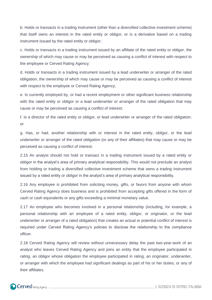b. Holds or transacts in a trading instrument (other than a diversified collective investment scheme) that itself owns an interest in the rated entity or obligor, or is a derivative based on a trading instrument issued by the rated entity or obligor;

c. Holds or transacts in a trading instrument issued by an affiliate of the rated entity or obligor, the ownership of which may cause or may be perceived as causing a conflict of interest with respect to the employee or Cerved Rating Agency;

d. Holds or transacts in a trading instrument issued by a lead underwriter or arranger of the rated obligation, the ownership of which may cause or may be perceived as causing a conflict of interest with respect to the employee or Cerved Rating Agency;

e. Is currently employed by, or had a recent employment or other significant business relationship with the rated entity or obligor or a lead underwriter or arranger of the rated obligation that may cause or may be perceived as causing a conflict of interest;

f. Is a director of the rated entity or obligor, or lead underwriter or arranger of the rated obligation; or

g. Has, or had, another relationship with or interest in the rated entity, obligor, or the lead underwriter or arranger of the rated obligation (or any of their affiliates) that may cause or may be perceived as causing a conflict of interest.

2.15 An analyst should not hold or transact in a trading instrument issued by a rated entity or obligor in the analyst's area of primary analytical responsibility. This would not preclude an analyst from holding or trading a diversified collective investment scheme that owns a trading instrument issued by a rated entity or obligor in the analyst's area of primary analytical responsibility.

2.16 Any employee is prohibited from soliciting money, gifts, or favors from anyone with whom Cerved Rating Agency does business and is prohibited from accepting gifts offered in the form of cash or cash equivalents or any gifts exceeding a minimal monetary value.

2.17 An employee who becomes involved in a personal relationship (including, for example, a personal relationship with an employee of a rated entity, obligor, or originator, or the lead underwriter or arranger of a rated obligation) that creates an actual or potential conflict of interest is required under Cerved Rating Agency's policies to disclose the relationship to the compliance officer.

2.18 Cerved Rating Agency will review without unnecessary delay the past two-year-work of an analyst who leaves Cerved Rating Agency and joins an entity that the employee participated in rating, an obligor whose obligation the employee participated in rating, an originator, underwriter, or arranger with which the employee had significant dealings as part of his or her duties, or any of their affiliates.

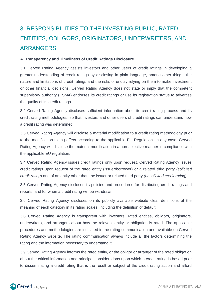# 3. RESPONSIBILITIES TO THE INVESTING PUBLIC, RATED ENTITIES, OBLIGORS, ORIGINATORS, UNDERWRITERS, AND ARRANGERS

#### **A. Transparency and Timeliness of Credit Ratings Disclosure**

3.1 Cerved Rating Agency assists investors and other users of credit ratings in developing a greater understanding of credit ratings by disclosing in plain language, among other things, the nature and limitations of credit ratings and the risks of unduly relying on them to make investment or other financial decisions. Cerved Rating Agency does not state or imply that the competent supervisory authority (ESMA) endorses its credit ratings or use its registration status to advertise the quality of its credit ratings.

3.2 Cerved Rating Agency discloses sufficient information about its credit rating process and its credit rating methodologies, so that investors and other users of credit ratings can understand how a credit rating was determined.

3.3 Cerved Rating Agency will disclose a material modification to a credit rating methodology prior to the modification taking effect according to the applicable EU Regulation. In any case, Cerved Rating Agency will disclose the material modification in a non-selective manner in compliance with the applicable EU regulation.

3.4 Cerved Rating Agency issues credit ratings only upon request. Cerved Rating Agency issues credit ratings upon request of the rated entity (issuer/borrower) or a related third party (*solicited credit rating*) and of an entity other than the issuer or related third party *(unsolicited credit rating)*.

3.5 Cerved Rating Agency discloses its policies and procedures for distributing credit ratings and reports, and for when a credit rating will be withdrawn.

3.6 Cerved Rating Agency discloses on its publicly available website clear definitions of the meaning of each category in its rating scales, including the definition of default.

3.8 Cerved Rating Agency is transparent with investors, rated entities, obligors, originators, underwriters, and arrangers about how the relevant entity or obligation is rated. The applicable procedures and methodologies are indicated in the rating communication and available on Cerved Rating Agency website. The rating communication always include all the factors determining the rating and the information necessary to understand it.

3.9 Cerved Rating Agency informs the rated entity, or the obligor or arranger of the rated obligation about the critical information and principal considerations upon which a credit rating is based prior to disseminating a credit rating that is the result or subject of the credit rating action and afford

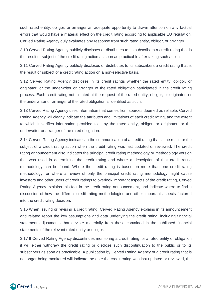such rated entity, obligor, or arranger an adequate opportunity to drawn attention on any factual errors that would have a material effect on the credit rating according to applicable EU regulation. Cerved Rating Agency duly evaluates any response from such rated entity, obligor, or arranger.

3.10 Cerved Rating Agency publicly discloses or distributes to its subscribers a credit rating that is the result or subject of the credit rating action as soon as practicable after taking such action.

3.11 Cerved Rating Agency publicly discloses or distributes to its subscribers a credit rating that is the result or subject of a credit rating action on a non-selective basis.

3.12 Cerved Rating Agency discloses in its credit ratings whether the rated entity, obligor, or originator, or the underwriter or arranger of the rated obligation participated in the credit rating process. Each credit rating not initiated at the request of the rated entity, obligor, or originator, or the underwriter or arranger of the rated obligation is identified as such.

3.13 Cerved Rating Agency uses information that comes from sources deemed as reliable. Cerved Rating Agency will clearly indicate the attributes and limitations of each credit rating, and the extent to which it verifies information provided to it by the rated entity, obligor, or originator, or the underwriter or arranger of the rated obligation.

3.14 Cerved Rating Agency indicates in the communication of a credit rating that is the result or the subject of a credit rating action when the credit rating was last updated or reviewed. The credit rating announcement also indicates the principal credit rating methodology or methodology version that was used in determining the credit rating and where a description of that credit rating methodology can be found. Where the credit rating is based on more than one credit rating methodology, or where a review of only the principal credit rating methodology might cause investors and other users of credit ratings to overlook important aspects of the credit rating, Cerved Rating Agency explains this fact in the credit rating announcement, and indicate where to find a discussion of how the different credit rating methodologies and other important aspects factored into the credit rating decision.

3.16 When issuing or revising a credit rating, Cerved Rating Agency explains in its announcement and related report the key assumptions and data underlying the credit rating, including financial statement adjustments that deviate materially from those contained in the published financial statements of the relevant rated entity or obligor.

3.17 If Cerved Rating Agency discontinues monitoring a credit rating for a rated entity or obligation it will either withdraw the credit rating or disclose such discontinuation to the public or to its subscribers as soon as practicable. A publication by Cerved Rating Agency of a credit rating that is no longer being monitored will indicate the date the credit rating was last updated or reviewed, the

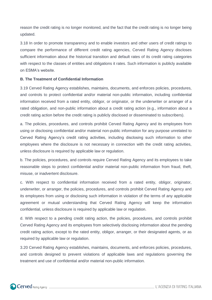reason the credit rating is no longer monitored, and the fact that the credit rating is no longer being updated.

3.18 In order to promote transparency and to enable investors and other users of credit ratings to compare the performance of different credit rating agencies, Cerved Rating Agency discloses sufficient information about the historical transition and default rates of its credit rating categories with respect to the classes of entities and obligations it rates. Such information is publicly available on ESMA's website.

#### **B. The Treatment of Confidential Information**

3.19 Cerved Rating Agency establishes, maintains, documents, and enforces policies, procedures, and controls to protect confidential and/or material non-public information, including confidential information received from a rated entity, obligor, or originator, or the underwriter or arranger of a rated obligation, and non-public information about a credit rating action (e.g., information about a credit rating action before the credit rating is publicly disclosed or disseminated to subscribers).

a. The policies, procedures, and controls prohibit Cerved Rating Agency and its employees from using or disclosing confidential and/or material non-public information for any purpose unrelated to Cerved Rating Agency's credit rating activities, including disclosing such information to other employees where the disclosure is not necessary in connection with the credit rating activities, unless disclosure is required by applicable law or regulation.

b. The policies, procedures, and controls require Cerved Rating Agency and its employees to take reasonable steps to protect confidential and/or material non-public information from fraud, theft, misuse, or inadvertent disclosure.

c. With respect to confidential information received from a rated entity, obligor, originator, underwriter, or arranger, the policies, procedures, and controls prohibit Cerved Rating Agency and its employees from using or disclosing such information in violation of the terms of any applicable agreement or mutual understanding that Cerved Rating Agency will keep the information confidential, unless disclosure is required by applicable law or regulation.

d. With respect to a pending credit rating action, the policies, procedures, and controls prohibit Cerved Rating Agency and its employees from selectively disclosing information about the pending credit rating action, except to the rated entity, obligor, arranger, or their designated agents, or as required by applicable law or regulation.

3.20 Cerved Rating Agency establishes, maintains, documents, and enforces policies, procedures, and controls designed to prevent violations of applicable laws and regulations governing the treatment and use of confidential and/or material non-public information.

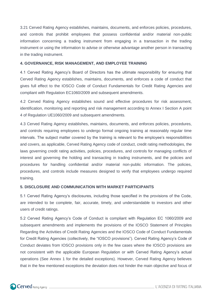3.21 Cerved Rating Agency establishes, maintains, documents, and enforces policies, procedures, and controls that prohibit employees that possess confidential and/or material non-public information concerning a trading instrument from engaging in a transaction in the trading instrument or using the information to advise or otherwise advantage another person in transacting in the trading instrument.

#### **4. GOVERNANCE, RISK MANAGEMENT, AND EMPLOYEE TRAINING**

4.1 Cerved Rating Agency's Board of Directors has the ultimate responsibility for ensuring that Cerved Rating Agency establishes, maintains, documents, and enforces a code of conduct that gives full effect to the IOSCO Code of Conduct Fundamentals for Credit Rating Agencies and compliant with Regulation EC1060/2009 and subsequent amendments.

4.2 Cerved Rating Agency establishes sound and effective procedures for risk assessment, identification, monitoring and reporting and risk management according to Annex I Section A point 4 of Regulation UE1060/2009 and subsequent amendments.

4.3 Cerved Rating Agency establishes, maintains, documents, and enforces policies, procedures, and controls requiring employees to undergo formal ongoing training at reasonably regular time intervals. The subject matter covered by the training is relevant to the employee's responsibilities and covers, as applicable, Cerved Rating Agency code of conduct, credit rating methodologies, the laws governing credit rating activities, policies, procedures, and controls for managing conflicts of interest and governing the holding and transacting in trading instruments, and the policies and procedures for handling confidential and/or material non-public information. The policies, procedures, and controls include measures designed to verify that employees undergo required training.

#### **5. DISCLOSURE AND COMMUNICATION WITH MARKET PARTICIPANTS**

5.1 Cerved Rating Agency's disclosures, including those specified in the provisions of the Code, are intended to be complete, fair, accurate, timely, and understandable to investors and other users of credit ratings.

5.2 Cerved Rating Agency's Code of Conduct is compliant with Regulation EC 1060/2009 and subsequent amendments and implements the provisions of the IOSCO Statement of Principles Regarding the Activities of Credit Rating Agencies and the IOSCO Code of Conduct Fundamentals for Credit Rating Agencies (collectively, the "IOSCO provisions"). Cerved Rating Agency's Code of Conduct deviates from IOSCO provisions only in the few cases where the IOSCO provisions are not consistent with the applicable European Regulation or with Cerved Rating Agency's actual operations (See Annex 1 for the detailed exceptions). However, Cerved Rating Agency believes that in the few mentioned exceptions the deviation does not hinder the main objective and focus of

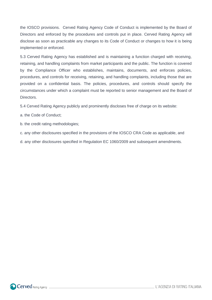the IOSCO provisions. Cerved Rating Agency Code of Conduct is implemented by the Board of Directors and enforced by the procedures and controls put in place. Cerved Rating Agency will disclose as soon as practicable any changes to its Code of Conduct or changes to how it is being implemented or enforced.

5.3 Cerved Rating Agency has established and is maintaining a function charged with receiving, retaining, and handling complaints from market participants and the public. The function is covered by the Compliance Officer who establishes, maintains, documents, and enforces policies, procedures, and controls for receiving, retaining, and handling complaints, including those that are provided on a confidential basis. The policies, procedures, and controls should specify the circumstances under which a complaint must be reported to senior management and the Board of **Directors** 

5.4 Cerved Rating Agency publicly and prominently discloses free of charge on its website:

a. the Code of Conduct;

b. the credit rating methodologies;

c. any other disclosures specified in the provisions of the IOSCO CRA Code as applicable, and

d. any other disclosures specified in Regulation EC 1060/2009 and subsequent amendments.